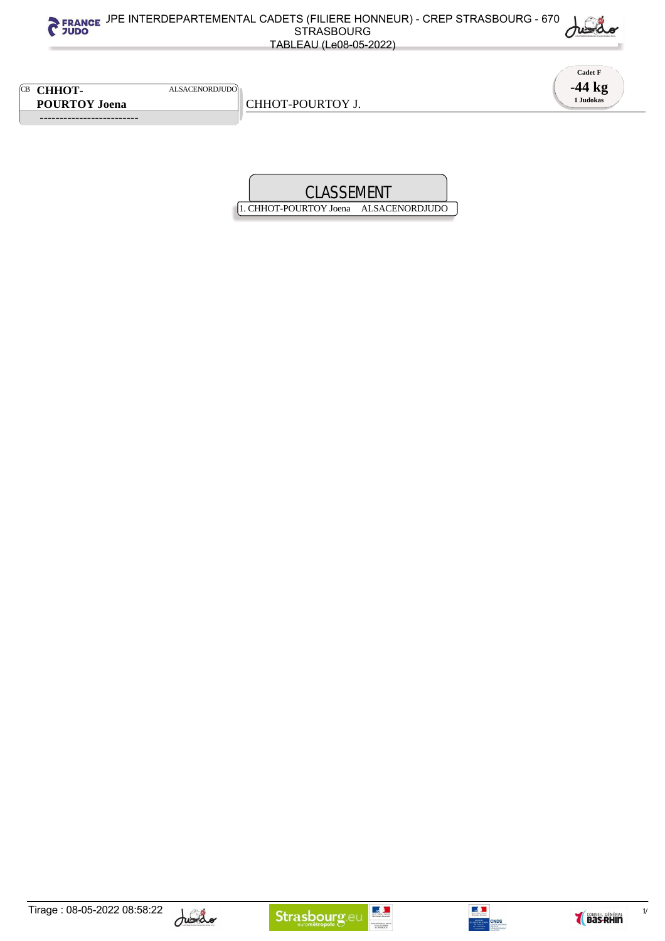**Cadet F -44 kg**

**1 Judokas**

CB **CHHOT-** ALSACENORDJUDO **POURTOY Joena**

 **-------------------------** 

CHHOT-POURTOY J.

1. CHHOT-POURTOY Joena ALSACENORDJUDO





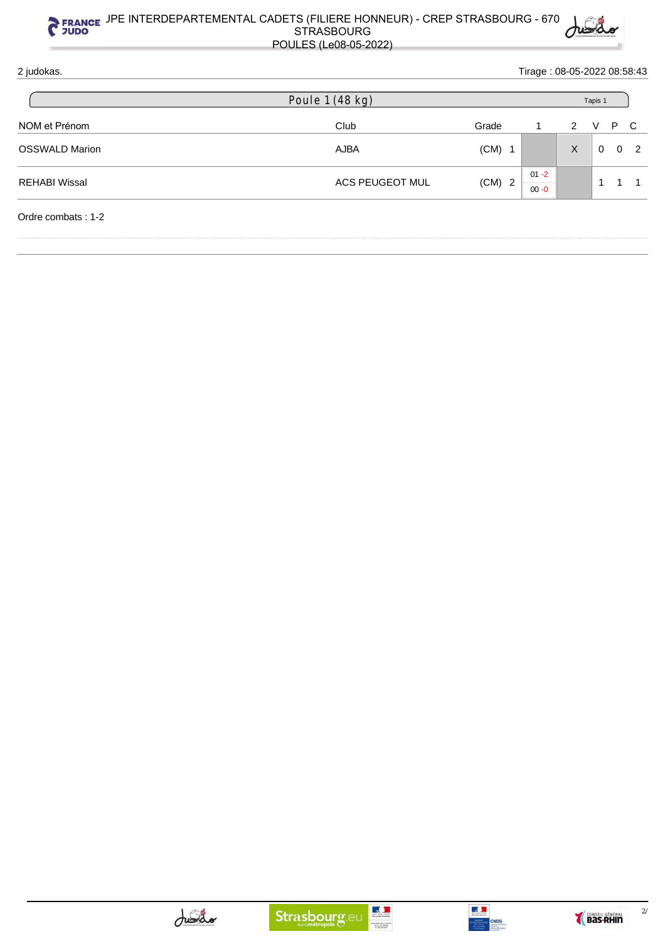## <sub>ICE</sub> JPE INTERDEPARTEMENTAL CADETS (FILIERE HONNEUR) - CREP STRASBOURG - 670  $\,$  |  $\,$   $\,$ STRASBOURG POULES (Le08-05-2022)

2 judokas. Tirage : 08-05-2022 08:58:43 NOM et Prénom and the Club Club Club Club Grade 1 2 V P C OSSWALD Marion **CONSWALD Marion CONSWALD Marion CONSWALD Marion CONSWALD Marion CONSWALD Marion CONSWALD Marion** REHABI Wissal **ACS PEUGEOT MUL** (CM) 2  $01 - 2$ 00 -0 1 1 1 Ordre combats : 1-2 Poule 1 (48 kg) Tapis 1

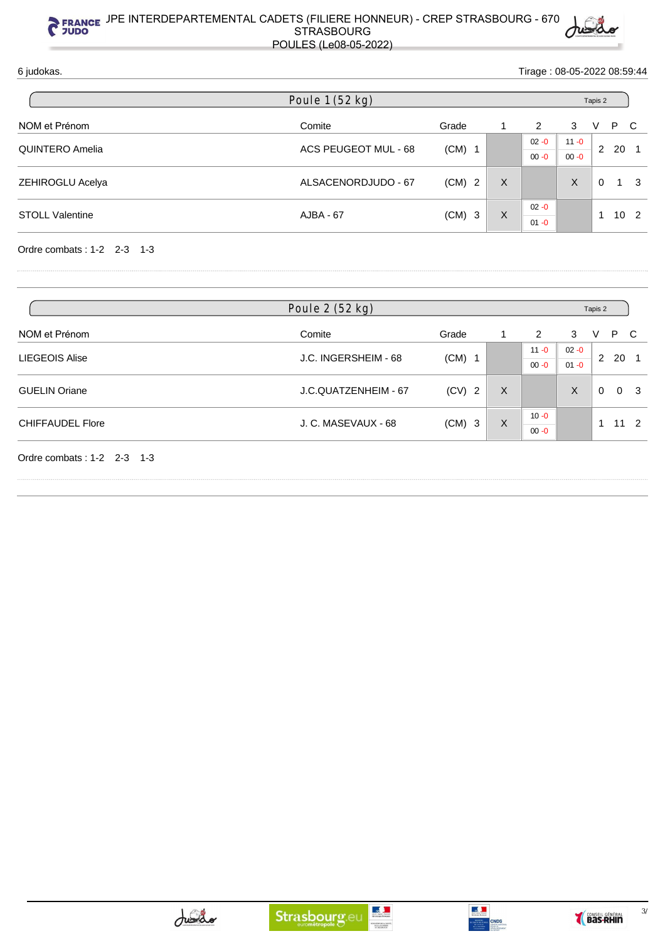6 judokas. Tirage : 08-05-2022 08:59:44

|                        | Poule 1 (52 kg)      |          |   |          | Tapis 2  |   |    |          |
|------------------------|----------------------|----------|---|----------|----------|---|----|----------|
| NOM et Prénom          | Comite               | Grade    |   | 2        | 3        | v | P. | C C      |
| <b>QUINTERO Amelia</b> | ACS PEUGEOT MUL - 68 |          |   | $02 - 0$ | $11 - 0$ |   |    |          |
|                        |                      | $(CM)$ 1 |   | $00 - 0$ | $00 - 0$ | 2 | 20 |          |
| ZEHIROGLU Acelya       | ALSACENORDJUDO - 67  | $(CM)$ 2 | X |          | X        | 0 | 1  | - 3      |
| <b>STOLL Valentine</b> | AJBA - 67            | $(CM)$ 3 | X | $02 - 0$ |          |   |    | $10^{2}$ |
|                        |                      |          |   | $01 - 0$ |          |   |    |          |

Ordre combats : 1-2 2-3 1-3

|                            | Poule 2 (52 kg)      |          |   |          |          | Tapis 2 |    |   |
|----------------------------|----------------------|----------|---|----------|----------|---------|----|---|
| NOM et Prénom              | Comite               | Grade    |   | 2        | 3        | V       | P  | C |
|                            |                      |          |   | $11 - 0$ | $02 - 0$ | 2       |    |   |
| <b>LIEGEOIS Alise</b>      | J.C. INGERSHEIM - 68 | $(CM)$ 1 |   | $00 - 0$ | $01 - 0$ |         | 20 |   |
| <b>GUELIN Oriane</b>       | J.C.QUATZENHEIM - 67 | $(CV)$ 2 | X |          | X        | 0       |    | 3 |
|                            | J. C. MASEVAUX - 68  |          |   | $10 - 0$ |          |         |    |   |
| <b>CHIFFAUDEL Flore</b>    |                      | $(CM)$ 3 | X | $00 - 0$ |          |         |    |   |
| Ordre combats: 1-2 2-3 1-3 |                      |          |   |          |          |         |    |   |



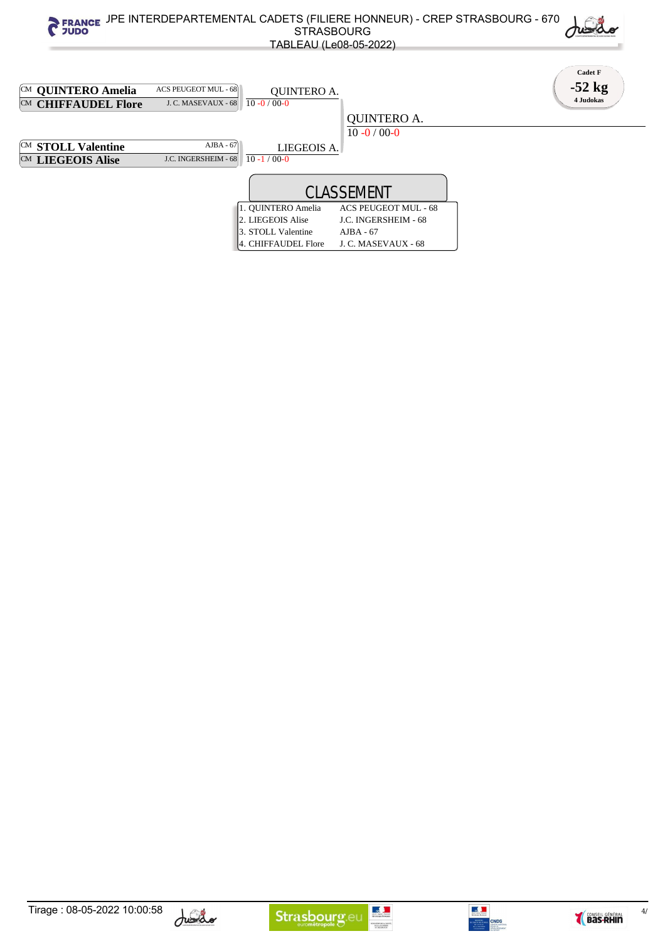





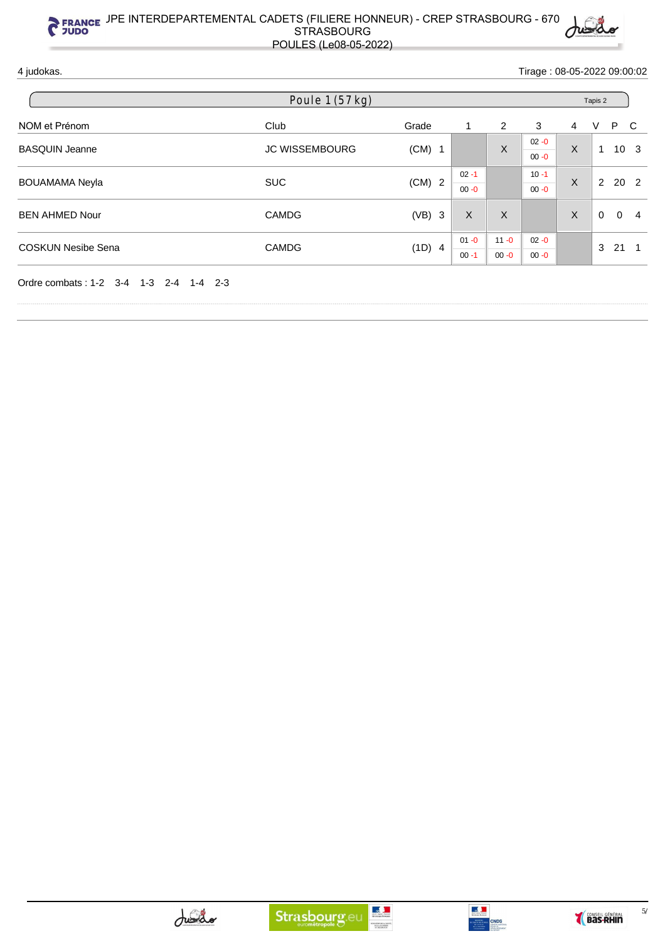

4 judokas. Tirage : 08-05-2022 09:00:02

|                           | Poule 1 (57 kg)       |          |          |          |          |         |          |                 |    |
|---------------------------|-----------------------|----------|----------|----------|----------|---------|----------|-----------------|----|
| NOM et Prénom             | Club                  | Grade    |          | 2        | 3        | 4       | V        | P C             |    |
| <b>BASQUIN Jeanne</b>     | <b>JC WISSEMBOURG</b> | $(CM)$ 1 |          | X        | $02 - 0$ | X       | 1        | 10 <sub>3</sub> |    |
|                           |                       |          |          |          | $00 - 0$ |         |          |                 |    |
| <b>BOUAMAMA Neyla</b>     | <b>SUC</b>            | $(CM)$ 2 | $02 - 1$ |          | $10 - 1$ | $\sf X$ |          | 2 20 2          |    |
|                           |                       |          | $00 - 0$ |          | $00 - 0$ |         |          |                 |    |
| <b>BEN AHMED Nour</b>     | <b>CAMDG</b>          | $(VB)$ 3 | X        | X        |          | X       | $\Omega$ | $\Omega$        | -4 |
| <b>COSKUN Nesibe Sena</b> |                       |          | $01 - 0$ | $11 - 0$ | $02 - 0$ |         |          |                 |    |
|                           | <b>CAMDG</b>          | (1D) 4   | $00 - 1$ | $00 - 0$ | $00 - 0$ |         | 3        | 21              |    |



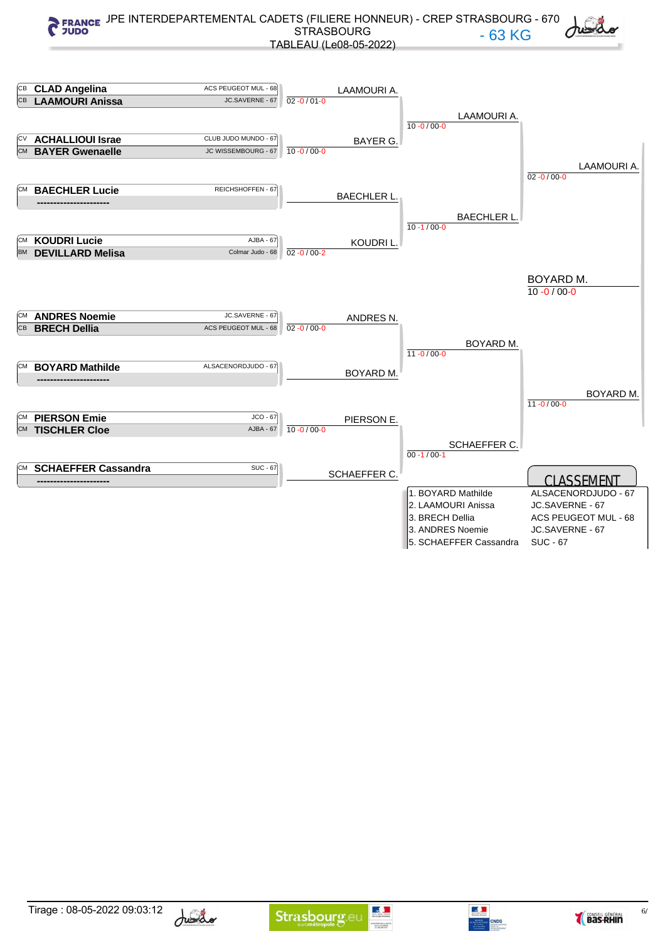





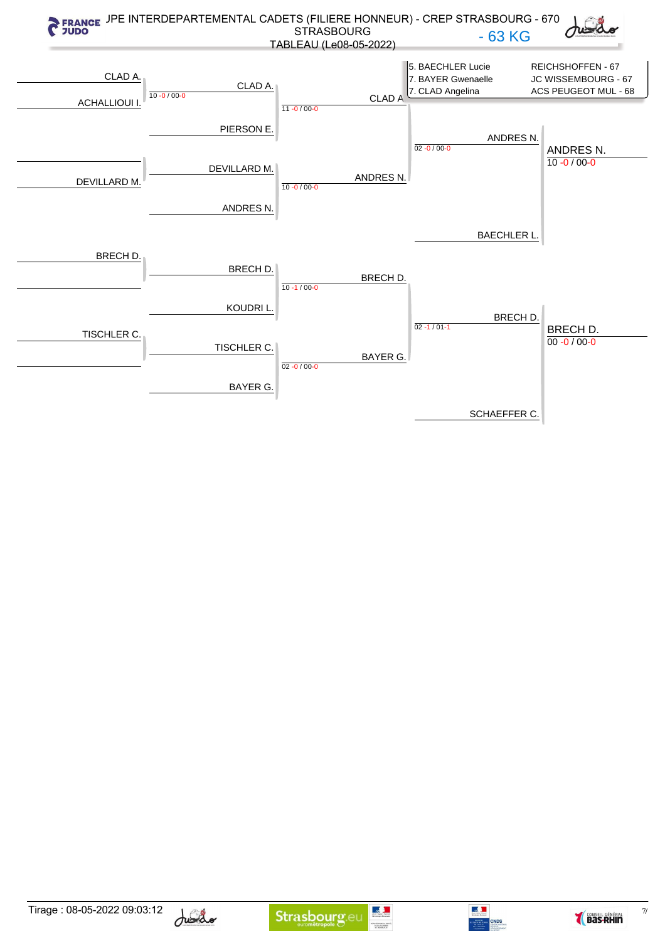









 $\frac{7}{2}$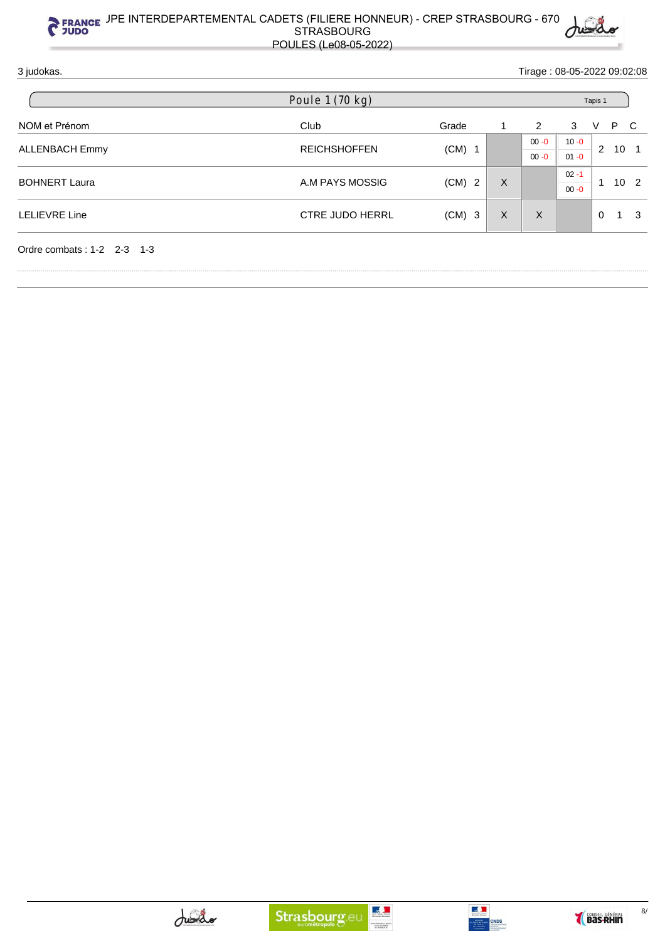

3 judokas. Tirage : 08-05-2022 09:02:08

|                            | Poule 1 (70 kg)        |                             |          | Tapis 1  |          |             |                 |                 |  |
|----------------------------|------------------------|-----------------------------|----------|----------|----------|-------------|-----------------|-----------------|--|
| NOM et Prénom              | Club                   | Grade                       |          | 2        | 3        | V           | P C             |                 |  |
| <b>ALLENBACH Emmy</b>      |                        | $(CM)$ 1                    |          | $00 - 0$ | $10 - 0$ |             |                 |                 |  |
|                            | <b>REICHSHOFFEN</b>    |                             |          | $00 - 0$ | $01 - 0$ | 2           | 10 <sub>1</sub> |                 |  |
| <b>BOHNERT Laura</b>       |                        | A.M PAYS MOSSIG<br>$(CM)$ 2 | X        |          |          | $02 - 1$    | и               |                 |  |
|                            |                        |                             |          |          | $00 - 0$ |             |                 | 10 <sub>2</sub> |  |
| <b>LELIEVRE Line</b>       | <b>CTRE JUDO HERRL</b> | $(CM)$ 3                    | $\times$ | X        |          | $\mathbf 0$ | 1               | 3               |  |
|                            |                        |                             |          |          |          |             |                 |                 |  |
| Ordre combats: 1-2 2-3 1-3 |                        |                             |          |          |          |             |                 |                 |  |